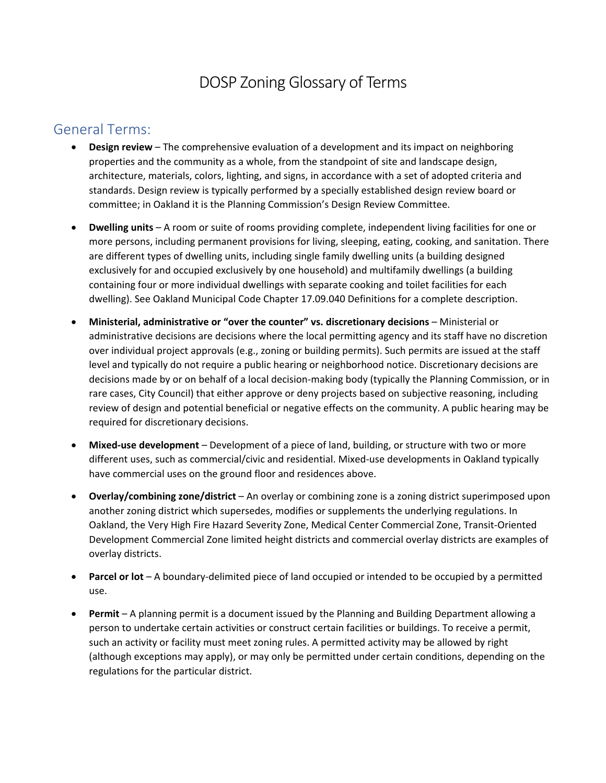# DOSP Zoning Glossary of Terms

### General Terms:

- **Design review** The comprehensive evaluation of a development and its impact on neighboring properties and the community as a whole, from the standpoint of site and landscape design, architecture, materials, colors, lighting, and signs, in accordance with a set of adopted criteria and standards. Design review is typically performed by a specially established design review board or committee; in Oakland it is the Planning Commission's Design Review Committee.
- **Dwelling units** A room or suite of rooms providing complete, independent living facilities for one or more persons, including permanent provisions for living, sleeping, eating, cooking, and sanitation. There are different types of dwelling units, including single family dwelling units (a building designed exclusively for and occupied exclusively by one household) and multifamily dwellings (a building containing four or more individual dwellings with separate cooking and toilet facilities for each dwelling). See Oakland Municipal Code Chapter 17.09.040 Definitions for a complete description.
- **Ministerial, administrative or "over the counter" vs. discretionary decisions** Ministerial or administrative decisions are decisions where the local permitting agency and its staff have no discretion over individual project approvals (e.g., zoning or building permits). Such permits are issued at the staff level and typically do not require a public hearing or neighborhood notice. Discretionary decisions are decisions made by or on behalf of a local decision-making body (typically the Planning Commission, or in rare cases, City Council) that either approve or deny projects based on subjective reasoning, including review of design and potential beneficial or negative effects on the community. A public hearing may be required for discretionary decisions.
- **Mixed-use development** Development of a piece of land, building, or structure with two or more different uses, such as commercial/civic and residential. Mixed-use developments in Oakland typically have commercial uses on the ground floor and residences above.
- **Overlay/combining zone/district** An overlay or combining zone is a zoning district superimposed upon another zoning district which supersedes, modifies or supplements the underlying regulations. In Oakland, the Very High Fire Hazard Severity Zone, Medical Center Commercial Zone, Transit-Oriented Development Commercial Zone limited height districts and commercial overlay districts are examples of overlay districts.
- **Parcel or lot** A boundary-delimited piece of land occupied or intended to be occupied by a permitted use.
- **Permit**  A planning permit is a document issued by the Planning and Building Department allowing a person to undertake certain activities or construct certain facilities or buildings. To receive a permit, such an activity or facility must meet zoning rules. A permitted activity may be allowed by right (although exceptions may apply), or may only be permitted under certain conditions, depending on the regulations for the particular district.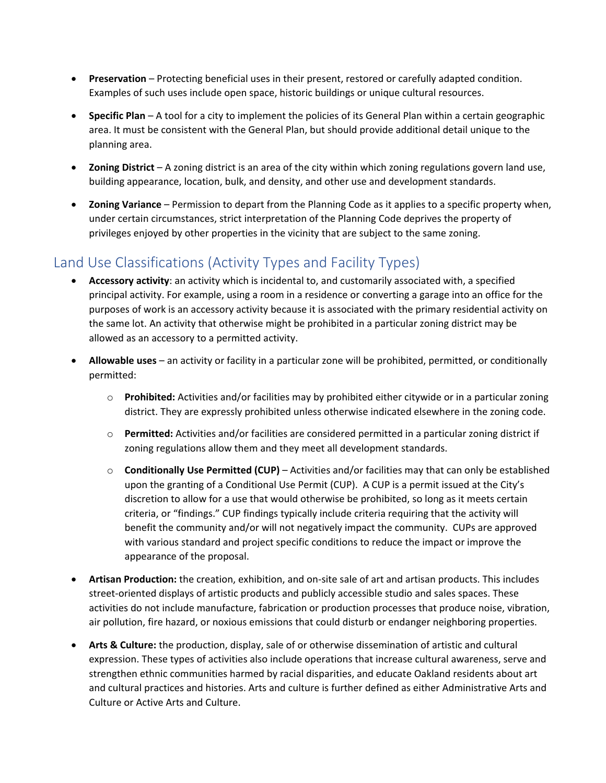- **Preservation** Protecting beneficial uses in their present, restored or carefully adapted condition. Examples of such uses include open space, historic buildings or unique cultural resources.
- **Specific Plan** A tool for a city to implement the policies of its General Plan within a certain geographic area. It must be consistent with the General Plan, but should provide additional detail unique to the planning area.
- **Zoning District** A zoning district is an area of the city within which zoning regulations govern land use, building appearance, location, bulk, and density, and other use and development standards.
- **Zoning Variance** Permission to depart from the Planning Code as it applies to a specific property when, under certain circumstances, strict interpretation of the Planning Code deprives the property of privileges enjoyed by other properties in the vicinity that are subject to the same zoning.

# [Land Use Classifications \(Activity Types and Facility Types\)](https://oaklandca.sharepoint.com/:w:/r/sites/PlanningandBuilding/_layouts/15/Doc.aspx?sourcedoc=%7BCBD00DC5-F4E9-4F3F-B827-3BBFD9F8F2BD%7D&file=2020-02-25%20DRAFT_DOSP_Planning%20Code%20Amendments_CityComments.docx&action=default&mobileredirect=true%22%20%5C&cid=d7af7293-f00c-4784-bc94-50a72bb8cbb7)

- **Accessory activity**: an activity which is incidental to, and customarily associated with, a specified principal activity. For example, using a room in a residence or converting a garage into an office for the purposes of work is an accessory activity because it is associated with the primary residential activity on the same lot. An activity that otherwise might be prohibited in a particular zoning district may be allowed as an accessory to a permitted activity.
- **Allowable uses**  an activity or facility in a particular zone will be prohibited, permitted, or conditionally permitted:
	- o **Prohibited:** Activities and/or facilities may by prohibited either citywide or in a particular zoning district. They are expressly prohibited unless otherwise indicated elsewhere in the zoning code.
	- o **Permitted:** Activities and/or facilities are considered permitted in a particular zoning district if zoning regulations allow them and they meet all development standards.
	- o **Conditionally Use Permitted (CUP)** Activities and/or facilities may that can only be established upon the granting of a Conditional Use Permit (CUP). A CUP is a permit issued at the City's discretion to allow for a use that would otherwise be prohibited, so long as it meets certain criteria, or "findings." CUP findings typically include criteria requiring that the activity will benefit the community and/or will not negatively impact the community. CUPs are approved with various standard and project specific conditions to reduce the impact or improve the appearance of the proposal.
- **Artisan Production:** the creation, exhibition, and on-site sale of art and artisan products. This includes street-oriented displays of artistic products and publicly accessible studio and sales spaces. These activities do not include manufacture, fabrication or production processes that produce noise, vibration, air pollution, fire hazard, or noxious emissions that could disturb or endanger neighboring properties.
- **Arts & Culture:** the production, display, sale of or otherwise dissemination of artistic and cultural expression. These types of activities also include operations that increase cultural awareness, serve and strengthen ethnic communities harmed by racial disparities, and educate Oakland residents about art and cultural practices and histories. Arts and culture is further defined as either Administrative Arts and Culture or Active Arts and Culture.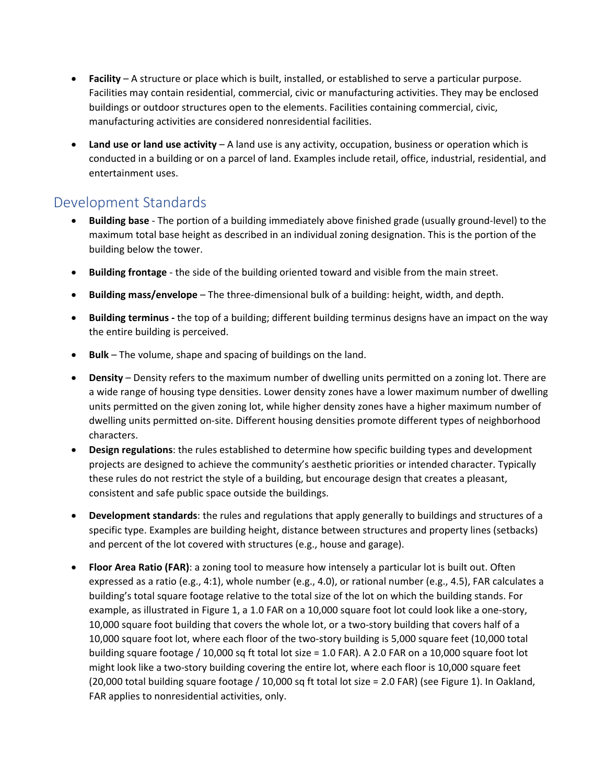- **Facility**  A structure or place which is built, installed, or established to serve a particular purpose. Facilities may contain residential, commercial, civic or manufacturing activities. They may be enclosed buildings or outdoor structures open to the elements. Facilities containing commercial, civic, manufacturing activities are considered nonresidential facilities.
- **Land use or land use activity** A land use is any activity, occupation, business or operation which is conducted in a building or on a parcel of land. Examples include retail, office, industrial, residential, and entertainment uses.

# [Development Standards](https://oaklandca.sharepoint.com/:w:/r/sites/PlanningandBuilding/_layouts/15/Doc.aspx?sourcedoc=%7B7A5F3F7E-8561-4138-8188-66F0B75631EA%7D&file=2021-03-23%2017.58.60%20Development%20Standards%20%26%20Height-Bulk%20Zones.docx&action=default&mobileredirect=true%22%20%5C)

- **Building base**  The portion of a building immediately above finished grade (usually ground-level) to the maximum total base height as described in an individual zoning designation. This is the portion of the building below the tower.
- **Building frontage** the side of the building oriented toward and visible from the main street.
- **Building mass/envelope** The three-dimensional bulk of a building: height, width, and depth.
- **Building terminus -** the top of a building; different building terminus designs have an impact on the way the entire building is perceived.
- **Bulk**  The volume, shape and spacing of buildings on the land.
- **Density** Density refers to the maximum number of dwelling units permitted on a zoning lot. There are a wide range of housing type densities. Lower density zones have a lower maximum number of dwelling units permitted on the given zoning lot, while higher density zones have a higher maximum number of dwelling units permitted on-site. Different housing densities promote different types of neighborhood characters.
- **Design regulations**: the rules established to determine how specific building types and development projects are designed to achieve the community's aesthetic priorities or intended character. Typically these rules do not restrict the style of a building, but encourage design that creates a pleasant, consistent and safe public space outside the buildings.
- **Development standards**: the rules and regulations that apply generally to buildings and structures of a specific type. Examples are building height, distance between structures and property lines (setbacks) and percent of the lot covered with structures (e.g., house and garage).
- **Floor Area Ratio (FAR)**: a zoning tool to measure how intensely a particular lot is built out. Often expressed as a ratio (e.g., 4:1), whole number (e.g., 4.0), or rational number (e.g., 4.5), FAR calculates a building's total square footage relative to the total size of the lot on which the building stands. For example, as illustrated in Figure 1, a 1.0 FAR on a 10,000 square foot lot could look like a one-story, 10,000 square foot building that covers the whole lot, or a two-story building that covers half of a 10,000 square foot lot, where each floor of the two-story building is 5,000 square feet (10,000 total building square footage / 10,000 sq ft total lot size = 1.0 FAR). A 2.0 FAR on a 10,000 square foot lot might look like a two-story building covering the entire lot, where each floor is 10,000 square feet (20,000 total building square footage / 10,000 sq ft total lot size = 2.0 FAR) (see Figure 1). In Oakland, FAR applies to nonresidential activities, only.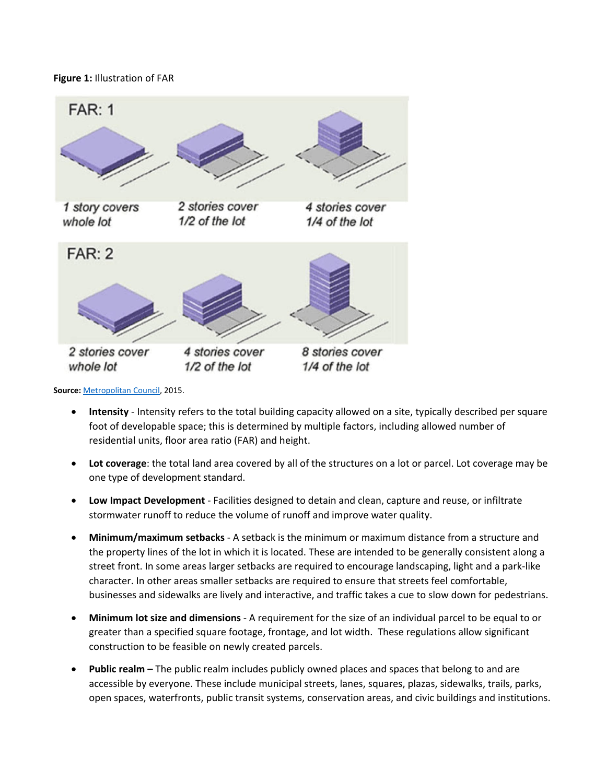#### **Figure 1:** Illustration of FAR



**Source:** [Metropolitan Council,](https://metrocouncil.org/Handbook/Files/Resources/Fact-Sheet/LAND-USE/How-to-Calculate-Floor-Area-Ratio.aspx) 2015.

- **Intensity**  Intensity refers to the total building capacity allowed on a site, typically described per square foot of developable space; this is determined by multiple factors, including allowed number of residential units, floor area ratio (FAR) and height.
- **Lot coverage**: the total land area covered by all of the structures on a lot or parcel. Lot coverage may be one type of development standard.
- **Low Impact Development** Facilities designed to detain and clean, capture and reuse, or infiltrate stormwater runoff to reduce the volume of runoff and improve water quality.
- **Minimum/maximum setbacks**  A setback is the minimum or maximum distance from a structure and the property lines of the lot in which it is located. These are intended to be generally consistent along a street front. In some areas larger setbacks are required to encourage landscaping, light and a park-like character. In other areas smaller setbacks are required to ensure that streets feel comfortable, businesses and sidewalks are lively and interactive, and traffic takes a cue to slow down for pedestrians.
- **Minimum lot size and dimensions** A requirement for the size of an individual parcel to be equal to or greater than a specified square footage, frontage, and lot width. These regulations allow significant construction to be feasible on newly created parcels.
- **Public realm –** The public realm includes publicly owned places and spaces that belong to and are accessible by everyone. These include municipal streets, lanes, squares, plazas, sidewalks, trails, parks, open spaces, waterfronts, public transit systems, conservation areas, and civic buildings and institutions.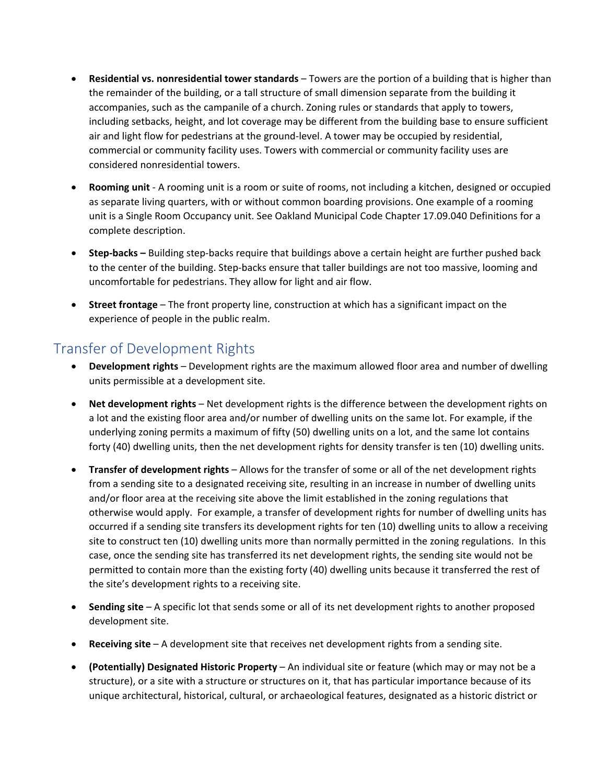- **Residential vs. nonresidential tower standards** Towers are the portion of a building that is higher than the remainder of the building, or a tall structure of small dimension separate from the building it accompanies, such as the campanile of a church. Zoning rules or standards that apply to towers, including setbacks, height, and lot coverage may be different from the building base to ensure sufficient air and light flow for pedestrians at the ground-level. A tower may be occupied by residential, commercial or community facility uses. Towers with commercial or community facility uses are considered nonresidential towers.
- **Rooming unit** A rooming unit is a room or suite of rooms, not including a kitchen, designed or occupied as separate living quarters, with or without common boarding provisions. One example of a rooming unit is a Single Room Occupancy unit. See Oakland Municipal Code Chapter 17.09.040 Definitions for a complete description.
- **Step-backs –** Building step-backs require that buildings above a certain height are further pushed back to the center of the building. Step-backs ensure that taller buildings are not too massive, looming and uncomfortable for pedestrians. They allow for light and air flow.
- **Street frontage** The front property line, construction at which has a significant impact on the experience of people in the public realm.

### [Transfer of Development Rights](https://oaklandca.sharepoint.com/:w:/r/sites/PlanningandBuilding/Shared%20Documents/Strategic%20Planning/Downtown%20Oakland%20Specific%20Plan/DOSP%20Sharepoint-Specific%20Files/Zoning/2021-06-23%20DSP%20Transfer%20of%20Development%20Rights.docx?d=w6cad32b6de994109be32790f13bfa13e&csf=1&web=1&e=6vPcV0)

- **Development rights** Development rights are the maximum allowed floor area and number of dwelling units permissible at a development site.
- **Net development rights** Net development rights is the difference between the development rights on a lot and the existing floor area and/or number of dwelling units on the same lot. For example, if the underlying zoning permits a maximum of fifty (50) dwelling units on a lot, and the same lot contains forty (40) dwelling units, then the net development rights for density transfer is ten (10) dwelling units.
- **Transfer of development rights** Allows for the transfer of some or all of the net development rights from a sending site to a designated receiving site, resulting in an increase in number of dwelling units and/or floor area at the receiving site above the limit established in the zoning regulations that otherwise would apply. For example, a transfer of development rights for number of dwelling units has occurred if a sending site transfers its development rights for ten (10) dwelling units to allow a receiving site to construct ten (10) dwelling units more than normally permitted in the zoning regulations. In this case, once the sending site has transferred its net development rights, the sending site would not be permitted to contain more than the existing forty (40) dwelling units because it transferred the rest of the site's development rights to a receiving site.
- **Sending site** A specific lot that sends some or all of its net development rights to another proposed development site.
- **Receiving site** A development site that receives net development rights from a sending site.
- **(Potentially) Designated Historic Property** An individual site or feature (which may or may not be a structure), or a site with a structure or structures on it, that has particular importance because of its unique architectural, historical, cultural, or archaeological features, designated as a historic district or